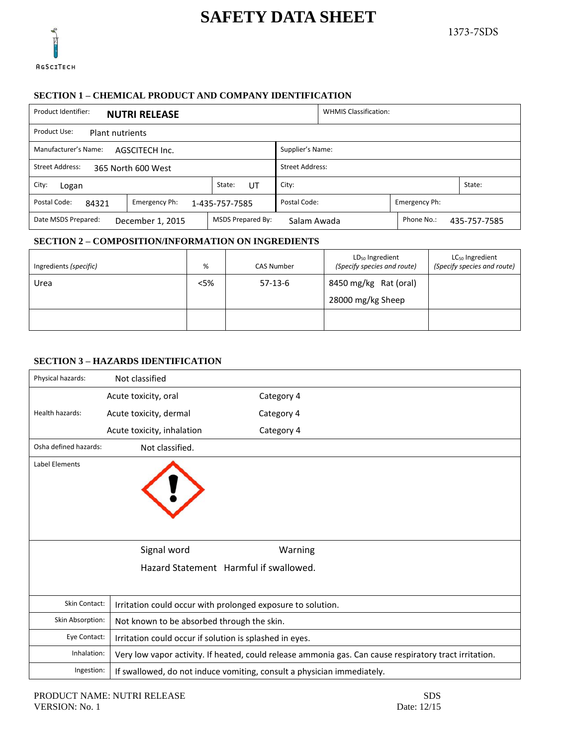# **SAFETY DATA SHEET**



## **SECTION 1 – CHEMICAL PRODUCT AND COMPANY IDENTIFICATION**

| Product Identifier:<br><b>NUTRI RELEASE</b>                                                               | <b>WHMIS Classification:</b> |  |  |  |  |  |  |
|-----------------------------------------------------------------------------------------------------------|------------------------------|--|--|--|--|--|--|
| Product Use:<br>Plant nutrients                                                                           |                              |  |  |  |  |  |  |
| Manufacturer's Name:<br>Supplier's Name:<br>AGSCITECH Inc.                                                |                              |  |  |  |  |  |  |
| Street Address:<br><b>Street Address:</b><br>365 North 600 West                                           |                              |  |  |  |  |  |  |
| State:<br>City:<br>City:<br>State:<br>UT<br>Logan                                                         |                              |  |  |  |  |  |  |
| Postal Code:<br>Postal Code:<br>Emergency Ph:<br>Emergency Ph:<br>84321<br>1-435-757-7585                 |                              |  |  |  |  |  |  |
| MSDS Prepared By:<br>Date MSDS Prepared:<br>Phone No.:<br>December 1, 2015<br>Salam Awada<br>435-757-7585 |                              |  |  |  |  |  |  |

#### **SECTION 2 – COMPOSITION/INFORMATION ON INGREDIENTS**

| Ingredients (specific) | %      | <b>CAS Number</b> | LD <sub>50</sub> Ingredient<br>(Specify species and route) | LC <sub>50</sub> Ingredient<br>(Specify species and route) |
|------------------------|--------|-------------------|------------------------------------------------------------|------------------------------------------------------------|
| Urea                   | $<$ 5% | $57-13-6$         | 8450 mg/kg Rat (oral)<br>28000 mg/kg Sheep                 |                                                            |
|                        |        |                   |                                                            |                                                            |

### **SECTION 3 – HAZARDS IDENTIFICATION**

| Physical hazards:     | Not classified                                                                                         |            |  |  |  |
|-----------------------|--------------------------------------------------------------------------------------------------------|------------|--|--|--|
|                       | Acute toxicity, oral                                                                                   | Category 4 |  |  |  |
| Health hazards:       | Acute toxicity, dermal                                                                                 | Category 4 |  |  |  |
|                       | Acute toxicity, inhalation                                                                             | Category 4 |  |  |  |
| Osha defined hazards: | Not classified.                                                                                        |            |  |  |  |
| Label Elements        |                                                                                                        |            |  |  |  |
|                       | Signal word                                                                                            | Warning    |  |  |  |
|                       | Hazard Statement Harmful if swallowed.                                                                 |            |  |  |  |
| Skin Contact:         | Irritation could occur with prolonged exposure to solution.                                            |            |  |  |  |
| Skin Absorption:      | Not known to be absorbed through the skin.                                                             |            |  |  |  |
| Eye Contact:          | Irritation could occur if solution is splashed in eyes.                                                |            |  |  |  |
| Inhalation:           | Very low vapor activity. If heated, could release ammonia gas. Can cause respiratory tract irritation. |            |  |  |  |
| Ingestion:            | If swallowed, do not induce vomiting, consult a physician immediately.                                 |            |  |  |  |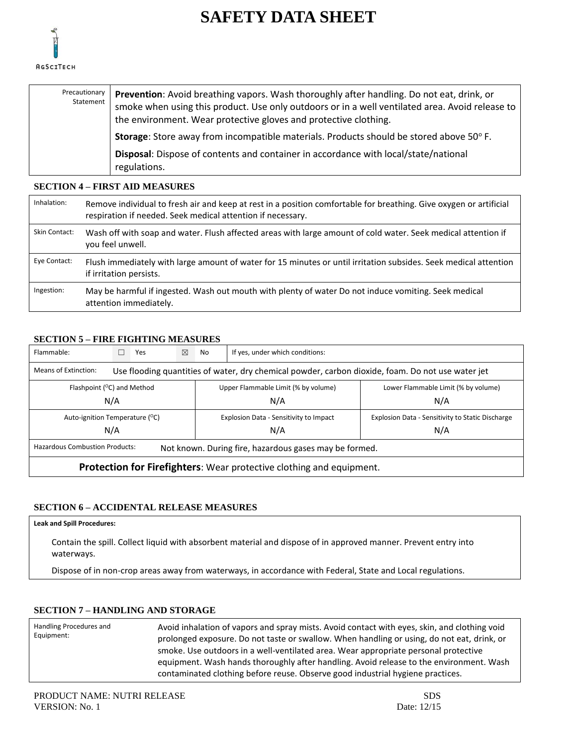



| Precautionary I<br>Statement | <b>Prevention:</b> Avoid breathing vapors. Wash thoroughly after handling. Do not eat, drink, or<br>smoke when using this product. Use only outdoors or in a well ventilated area. Avoid release to<br>the environment. Wear protective gloves and protective clothing. |
|------------------------------|-------------------------------------------------------------------------------------------------------------------------------------------------------------------------------------------------------------------------------------------------------------------------|
|                              | <b>Storage:</b> Store away from incompatible materials. Products should be stored above 50° F.                                                                                                                                                                          |
|                              | Disposal: Dispose of contents and container in accordance with local/state/national<br>regulations.                                                                                                                                                                     |

## **SECTION 4 – FIRST AID MEASURES**

| Inhalation:   | Remove individual to fresh air and keep at rest in a position comfortable for breathing. Give oxygen or artificial<br>respiration if needed. Seek medical attention if necessary. |
|---------------|-----------------------------------------------------------------------------------------------------------------------------------------------------------------------------------|
| Skin Contact: | Wash off with soap and water. Flush affected areas with large amount of cold water. Seek medical attention if<br>you feel unwell.                                                 |
| Eye Contact:  | Flush immediately with large amount of water for 15 minutes or until irritation subsides. Seek medical attention<br>if irritation persists.                                       |
| Ingestion:    | May be harmful if ingested. Wash out mouth with plenty of water Do not induce vomiting. Seek medical<br>attention immediately.                                                    |

## **SECTION 5 – FIRE FIGHTING MEASURES**

| Flammable:                                                                                                                |                                                                                                                       | Yes | ⊠ | No | If yes, under which conditions:        |                                                  |  |  |  |
|---------------------------------------------------------------------------------------------------------------------------|-----------------------------------------------------------------------------------------------------------------------|-----|---|----|----------------------------------------|--------------------------------------------------|--|--|--|
| Means of Extinction:<br>Use flooding quantities of water, dry chemical powder, carbon dioxide, foam. Do not use water jet |                                                                                                                       |     |   |    |                                        |                                                  |  |  |  |
|                                                                                                                           | Flashpoint ( <sup>o</sup> C) and Method<br>Upper Flammable Limit (% by volume)<br>Lower Flammable Limit (% by volume) |     |   |    |                                        |                                                  |  |  |  |
|                                                                                                                           | N/A<br>N/A<br>N/A                                                                                                     |     |   |    |                                        |                                                  |  |  |  |
| Auto-ignition Temperature (°C)                                                                                            |                                                                                                                       |     |   |    | Explosion Data - Sensitivity to Impact | Explosion Data - Sensitivity to Static Discharge |  |  |  |
| N/A                                                                                                                       |                                                                                                                       |     |   |    | N/A                                    | N/A                                              |  |  |  |
| <b>Hazardous Combustion Products:</b><br>Not known. During fire, hazardous gases may be formed.                           |                                                                                                                       |     |   |    |                                        |                                                  |  |  |  |
| <b>Protection for Firefighters:</b> Wear protective clothing and equipment.                                               |                                                                                                                       |     |   |    |                                        |                                                  |  |  |  |

#### **SECTION 6 – ACCIDENTAL RELEASE MEASURES**

**Leak and Spill Procedures:**

Contain the spill. Collect liquid with absorbent material and dispose of in approved manner. Prevent entry into waterways.

Dispose of in non-crop areas away from waterways, in accordance with Federal, State and Local regulations.

#### **SECTION 7 – HANDLING AND STORAGE**

| Handling Procedures and<br>Avoid inhalation of vapors and spray mists. Avoid contact with eyes, skin, and clothing void<br>Equipment:<br>prolonged exposure. Do not taste or swallow. When handling or using, do not eat, drink, or<br>smoke. Use outdoors in a well-ventilated area. Wear appropriate personal protective<br>equipment. Wash hands thoroughly after handling. Avoid release to the environment. Wash<br>contaminated clothing before reuse. Observe good industrial hygiene practices. |  |
|---------------------------------------------------------------------------------------------------------------------------------------------------------------------------------------------------------------------------------------------------------------------------------------------------------------------------------------------------------------------------------------------------------------------------------------------------------------------------------------------------------|--|
|---------------------------------------------------------------------------------------------------------------------------------------------------------------------------------------------------------------------------------------------------------------------------------------------------------------------------------------------------------------------------------------------------------------------------------------------------------------------------------------------------------|--|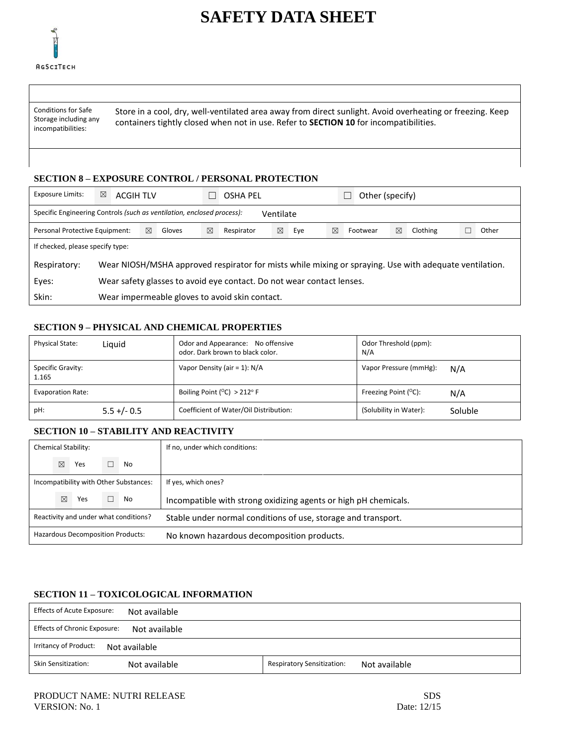

# **SAFETY DATA SHEET**

Conditions for Safe Storage including any incompatibilities:

Store in a cool, dry, well-ventilated area away from direct sunlight. Avoid overheating or freezing. Keep containers tightly closed when not in use. Refer to **SECTION 10** for incompatibilities.

## **SECTION 8 – EXPOSURE CONTROL / PERSONAL PROTECTION**

| <b>Exposure Limits:</b>                                                             | ⊠                                                                                                      | <b>ACGIH TLV</b>                               |   |        |   | OSHA PEL   |   |     |   | Other (specify) |   |          |       |
|-------------------------------------------------------------------------------------|--------------------------------------------------------------------------------------------------------|------------------------------------------------|---|--------|---|------------|---|-----|---|-----------------|---|----------|-------|
| Specific Engineering Controls (such as ventilation, enclosed process):<br>Ventilate |                                                                                                        |                                                |   |        |   |            |   |     |   |                 |   |          |       |
| Personal Protective Equipment:                                                      |                                                                                                        |                                                | ⊠ | Gloves | ⊠ | Respirator | ⊠ | Eye | ⊠ | Footwear        | ⊠ | Clothing | Other |
| If checked, please specify type:                                                    |                                                                                                        |                                                |   |        |   |            |   |     |   |                 |   |          |       |
| Respiratory:                                                                        | Wear NIOSH/MSHA approved respirator for mists while mixing or spraying. Use with adequate ventilation. |                                                |   |        |   |            |   |     |   |                 |   |          |       |
| Eyes:                                                                               | Wear safety glasses to avoid eye contact. Do not wear contact lenses.                                  |                                                |   |        |   |            |   |     |   |                 |   |          |       |
| Skin:                                                                               |                                                                                                        | Wear impermeable gloves to avoid skin contact. |   |        |   |            |   |     |   |                 |   |          |       |

## **SECTION 9 – PHYSICAL AND CHEMICAL PROPERTIES**

| <b>Physical State:</b>     | Liguid         | Odor and Appearance: No offensive<br>odor. Dark brown to black color. | Odor Threshold (ppm):<br>N/A          |
|----------------------------|----------------|-----------------------------------------------------------------------|---------------------------------------|
| Specific Gravity:<br>1.165 |                | Vapor Density (air = 1): N/A                                          | Vapor Pressure (mmHg):<br>N/A         |
| Evaporation Rate:          |                | Boiling Point ( $^{\circ}$ C) > 212 $^{\circ}$ F                      | Freezing Point $(^{\circ}C)$ :<br>N/A |
| pH:                        | $5.5 + (-0.5)$ | Coefficient of Water/Oil Distribution:                                | (Solubility in Water):<br>Soluble     |

## **SECTION 10 – STABILITY AND REACTIVITY**

|                                       |             | Chemical Stability: |                                        | If no, under which conditions:                                  |
|---------------------------------------|-------------|---------------------|----------------------------------------|-----------------------------------------------------------------|
|                                       | $\boxtimes$ | Yes                 | No                                     |                                                                 |
|                                       |             |                     | Incompatibility with Other Substances: | If yes, which ones?                                             |
|                                       | X           | Yes                 | No.                                    | Incompatible with strong oxidizing agents or high pH chemicals. |
| Reactivity and under what conditions? |             |                     |                                        | Stable under normal conditions of use, storage and transport.   |
| Hazardous Decomposition Products:     |             |                     |                                        | No known hazardous decomposition products.                      |

#### **SECTION 11 – TOXICOLOGICAL INFORMATION**

| Effects of Acute Exposure:<br>Not available          |                                                    |
|------------------------------------------------------|----------------------------------------------------|
| <b>Effects of Chronic Exposure:</b><br>Not available |                                                    |
| Irritancy of Product:<br>Not available               |                                                    |
| Skin Sensitization:<br>Not available                 | <b>Respiratory Sensitization:</b><br>Not available |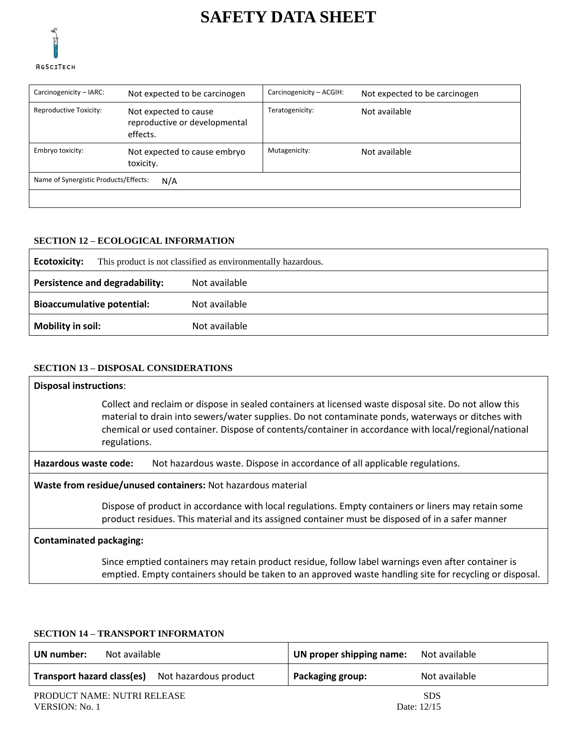

# **SAFETY DATA SHEET**

| Carcinogenicity - IARC:               | Not expected to be carcinogen                                      | Carcinogenicity - ACGIH:         | Not expected to be carcinogen |  |  |  |
|---------------------------------------|--------------------------------------------------------------------|----------------------------------|-------------------------------|--|--|--|
| Reproductive Toxicity:                | Not expected to cause<br>reproductive or developmental<br>effects. | Teratogenicity:<br>Not available |                               |  |  |  |
| Embryo toxicity:                      | Not expected to cause embryo<br>toxicity.                          | Mutagenicity:                    | Not available                 |  |  |  |
| Name of Synergistic Products/Effects: | N/A                                                                |                                  |                               |  |  |  |
|                                       |                                                                    |                                  |                               |  |  |  |

## **SECTION 12 – ECOLOGICAL INFORMATION**

| Ecotoxicity:                          | This product is not classified as environmentally hazardous. |  |  |
|---------------------------------------|--------------------------------------------------------------|--|--|
| <b>Persistence and degradability:</b> | Not available                                                |  |  |
| <b>Bioaccumulative potential:</b>     | Not available                                                |  |  |
| <b>Mobility in soil:</b>              | Not available                                                |  |  |

## **SECTION 13 – DISPOSAL CONSIDERATIONS**

| <b>Disposal instructions:</b>                                                                                                                                                                           |                                                                                                                                                                                                                                                                                                                                     |  |  |
|---------------------------------------------------------------------------------------------------------------------------------------------------------------------------------------------------------|-------------------------------------------------------------------------------------------------------------------------------------------------------------------------------------------------------------------------------------------------------------------------------------------------------------------------------------|--|--|
|                                                                                                                                                                                                         | Collect and reclaim or dispose in sealed containers at licensed waste disposal site. Do not allow this<br>material to drain into sewers/water supplies. Do not contaminate ponds, waterways or ditches with<br>chemical or used container. Dispose of contents/container in accordance with local/regional/national<br>regulations. |  |  |
| Hazardous waste code:                                                                                                                                                                                   | Not hazardous waste. Dispose in accordance of all applicable regulations.                                                                                                                                                                                                                                                           |  |  |
| Waste from residue/unused containers: Not hazardous material                                                                                                                                            |                                                                                                                                                                                                                                                                                                                                     |  |  |
| Dispose of product in accordance with local regulations. Empty containers or liners may retain some<br>product residues. This material and its assigned container must be disposed of in a safer manner |                                                                                                                                                                                                                                                                                                                                     |  |  |
| <b>Contaminated packaging:</b>                                                                                                                                                                          |                                                                                                                                                                                                                                                                                                                                     |  |  |
|                                                                                                                                                                                                         | Since emptied containers may retain product residue, follow label warnings even after container is<br>emptied. Empty containers should be taken to an approved waste handling site for recycling or disposal.                                                                                                                       |  |  |

## **SECTION 14 – TRANSPORT INFORMATON**

| Not available               | UN proper shipping name: |
|-----------------------------|--------------------------|
| UN number:                  | Not available            |
| Transport hazard class(es)  | Not available            |
| Not hazardous product       | Packaging group:         |
| PRODUCT NAME: NUTRI RELEASE | <b>SDS</b>               |
| VERSION: No. 1              | Date: 12/15              |